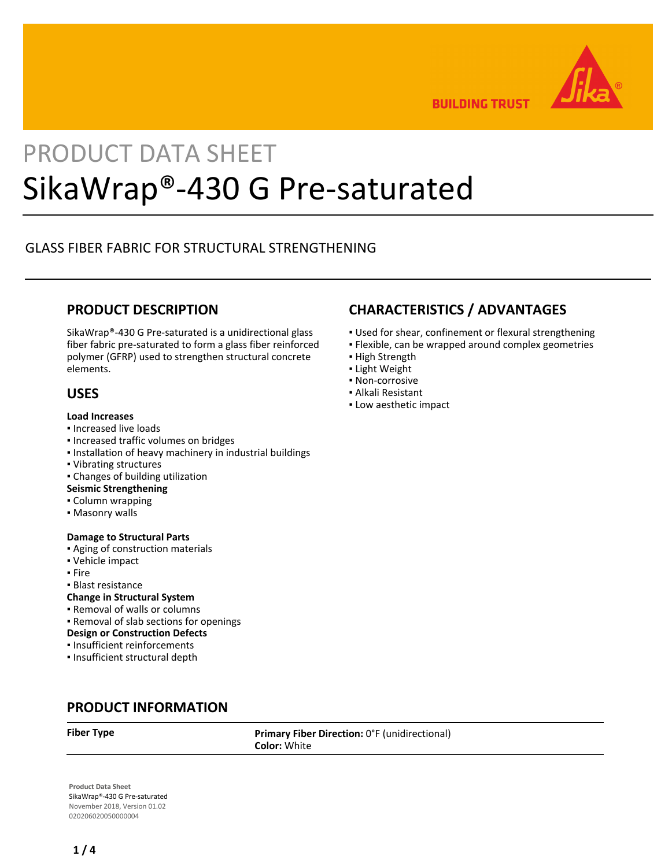

**BUILDING TRUST** 

# PRODUCT DATA SHEET SikaWrap®-430 G Pre-saturated

## GLASS FIBER FABRIC FOR STRUCTURAL STRENGTHENING

## **PRODUCT DESCRIPTION**

SikaWrap®-430 G Pre-saturated is a unidirectional glass fiber fabric pre-saturated to form a glass fiber reinforced polymer (GFRP) used to strengthen structural concrete elements.

## **USES**

#### **Load Increases**

- Increased live loads
- Increased traffic volumes on bridges
- Installation of heavy machinery in industrial buildings
- Vibrating structures
- Changes of building utilization

#### **Seismic Strengthening**

- Column wrapping
- Masonry walls

#### **Damage to Structural Parts**

- **Aging of construction materials**
- Vehicle impact
- Fire
- Blast resistance

#### **Change in Structural System**

- Removal of walls or columns
- Removal of slab sections for openings
- **Design or Construction Defects**
- Insufficient reinforcements
- Insufficient structural depth

## **PRODUCT INFORMATION**

**Fiber Type Primary Fiber Direction:** 0°F (unidirectional) **Color:** White

**Product Data Sheet** SikaWrap®-430 G Pre-saturated November 2018, Version 01.02 020206020050000004

## **CHARACTERISTICS / ADVANTAGES**

- Used for shear, confinement or flexural strengthening
- **Flexible, can be wrapped around complex geometries**
- **· High Strength**
- **.** Light Weight
- Non-corrosive
- Alkali Resistant
- Low aesthetic impact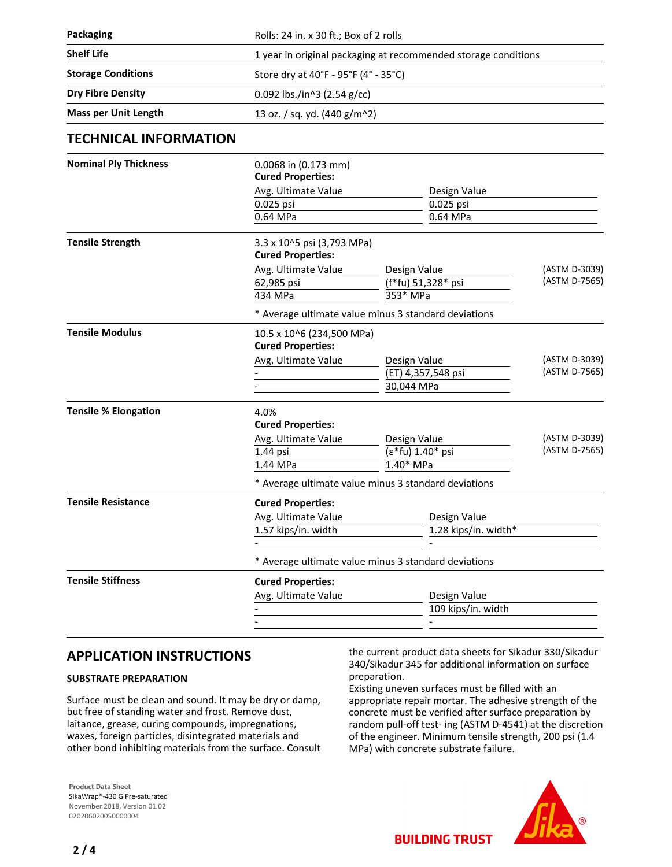| <b>Packaging</b>             | Rolls: 24 in. x 30 ft.; Box of 2 rolls                         |                       |                                |  |
|------------------------------|----------------------------------------------------------------|-----------------------|--------------------------------|--|
| <b>Shelf Life</b>            | 1 year in original packaging at recommended storage conditions |                       |                                |  |
| <b>Storage Conditions</b>    | Store dry at 40°F - 95°F (4° - 35°C)                           |                       |                                |  |
| <b>Dry Fibre Density</b>     | 0.092 lbs./in^3 (2.54 g/cc)                                    |                       |                                |  |
| <b>Mass per Unit Length</b>  | 13 oz. / sq. yd. (440 g/m^2)                                   |                       |                                |  |
| <b>TECHNICAL INFORMATION</b> |                                                                |                       |                                |  |
| <b>Nominal Ply Thickness</b> | $0.0068$ in $(0.173$ mm)<br><b>Cured Properties:</b>           |                       |                                |  |
|                              | Avg. Ultimate Value                                            | Design Value          |                                |  |
|                              | 0.025 psi<br>0.64 MPa                                          | 0.025 psi<br>0.64 MPa |                                |  |
|                              |                                                                |                       |                                |  |
| <b>Tensile Strength</b>      | 3.3 x 10^5 psi (3,793 MPa)<br><b>Cured Properties:</b>         |                       |                                |  |
|                              | Avg. Ultimate Value                                            | Design Value          | (ASTM D-3039)<br>(ASTM D-7565) |  |
|                              | 62,985 psi                                                     | (f*fu) 51,328* psi    |                                |  |
|                              | 434 MPa                                                        | 353* MPa              |                                |  |
|                              | * Average ultimate value minus 3 standard deviations           |                       |                                |  |
| <b>Tensile Modulus</b>       | 10.5 x 10^6 (234,500 MPa)<br><b>Cured Properties:</b>          |                       |                                |  |
|                              | Avg. Ultimate Value                                            | Design Value          | (ASTM D-3039)                  |  |
|                              |                                                                | (ET) 4,357,548 psi    | (ASTM D-7565)                  |  |
|                              |                                                                | 30,044 MPa            |                                |  |
| <b>Tensile % Elongation</b>  | 4.0%<br><b>Cured Properties:</b>                               |                       |                                |  |
|                              | Avg. Ultimate Value                                            | Design Value          | (ASTM D-3039)                  |  |
|                              | 1.44 psi                                                       | (ε*fu) 1.40* psi      | (ASTM D-7565)                  |  |
|                              | 1.44 MPa                                                       | $1.40*$ MPa           |                                |  |
|                              | * Average ultimate value minus 3 standard deviations           |                       |                                |  |
| <b>Tensile Resistance</b>    | <b>Cured Properties:</b>                                       |                       |                                |  |
|                              | Avg. Ultimate Value                                            | Design Value          |                                |  |
|                              | 1.57 kips/in. width                                            | 1.28 kips/in. width*  |                                |  |
|                              |                                                                |                       |                                |  |
|                              | * Average ultimate value minus 3 standard deviations           |                       |                                |  |
| <b>Tensile Stiffness</b>     | <b>Cured Properties:</b>                                       |                       |                                |  |
|                              | Avg. Ultimate Value                                            | Design Value          |                                |  |
|                              |                                                                | 109 kips/in. width    |                                |  |
|                              |                                                                |                       |                                |  |

## **APPLICATION INSTRUCTIONS**

#### **SUBSTRATE PREPARATION**

Surface must be clean and sound. It may be dry or damp, but free of standing water and frost. Remove dust, laitance, grease, curing compounds, impregnations, waxes, foreign particles, disintegrated materials and other bond inhibiting materials from the surface. Consult

**Product Data Sheet** SikaWrap®-430 G Pre-saturated November 2018, Version 01.02 020206020050000004

the current product data sheets for Sikadur 330/Sikadur 340/Sikadur 345 for additional information on surface preparation.

Existing uneven surfaces must be filled with an appropriate repair mortar. The adhesive strength of the concrete must be verified after surface preparation by random pull-off test- ing (ASTM D-4541) at the discretion of the engineer. Minimum tensile strength, 200 psi (1.4 MPa) with concrete substrate failure.

**BUILDING TRUST** 

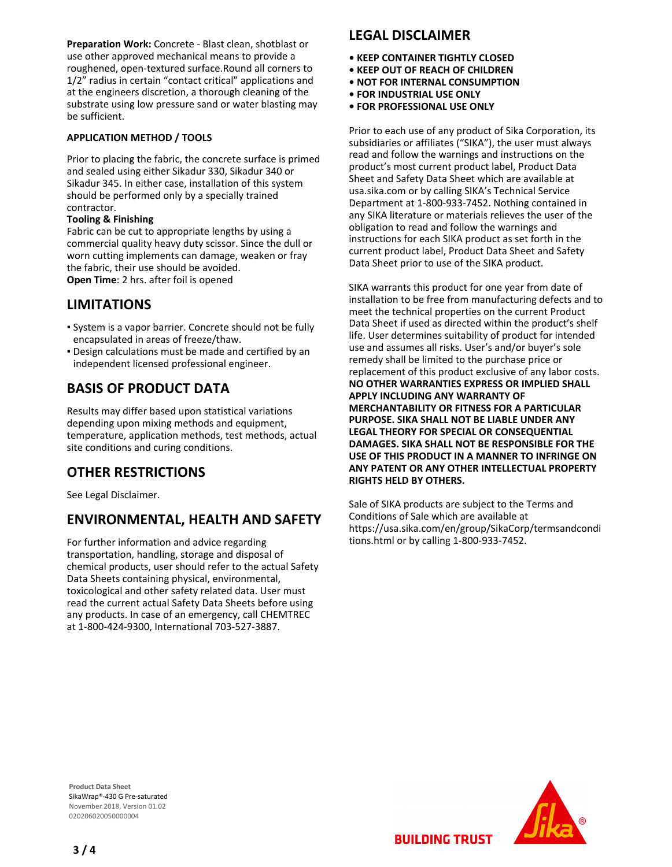**Preparation Work:** Concrete - Blast clean, shotblast or use other approved mechanical means to provide a roughened, open-textured surface.Round all corners to 1/2" radius in certain "contact critical" applications and at the engineers discretion, a thorough cleaning of the substrate using low pressure sand or water blasting may be sufficient.

### **APPLICATION METHOD / TOOLS**

Prior to placing the fabric, the concrete surface is primed and sealed using either Sikadur 330, Sikadur 340 or Sikadur 345. In either case, installation of this system should be performed only by a specially trained contractor.

#### **Tooling & Finishing**

Fabric can be cut to appropriate lengths by using a commercial quality heavy duty scissor. Since the dull or worn cutting implements can damage, weaken or fray the fabric, their use should be avoided. **Open Time**: 2 hrs. after foil is opened

## **LIMITATIONS**

- System is a vapor barrier. Concrete should not be fully encapsulated in areas of freeze/thaw.
- **Design calculations must be made and certified by an** independent licensed professional engineer.

## **BASIS OF PRODUCT DATA**

Results may differ based upon statistical variations depending upon mixing methods and equipment, temperature, application methods, test methods, actual site conditions and curing conditions.

## **OTHER RESTRICTIONS**

See Legal Disclaimer.

## **ENVIRONMENTAL, HEALTH AND SAFETY**

For further information and advice regarding transportation, handling, storage and disposal of chemical products, user should refer to the actual Safety Data Sheets containing physical, environmental, toxicological and other safety related data. User must read the current actual Safety Data Sheets before using any products. In case of an emergency, call CHEMTREC at 1-800-424-9300, International 703-527-3887.

## **LEGAL DISCLAIMER**

- **KEEP CONTAINER TIGHTLY CLOSED**
- **KEEP OUT OF REACH OF CHILDREN**
- **NOT FOR INTERNAL CONSUMPTION**
- **FOR INDUSTRIAL USE ONLY**
- **FOR PROFESSIONAL USE ONLY**

Prior to each use of any product of Sika Corporation, its subsidiaries or affiliates ("SIKA"), the user must always read and follow the warnings and instructions on the product's most current product label, Product Data Sheet and Safety Data Sheet which are available at usa.sika.com or by calling SIKA's Technical Service Department at 1-800-933-7452. Nothing contained in any SIKA literature or materials relieves the user of the obligation to read and follow the warnings and instructions for each SIKA product as set forth in the current product label, Product Data Sheet and Safety Data Sheet prior to use of the SIKA product.

SIKA warrants this product for one year from date of installation to be free from manufacturing defects and to meet the technical properties on the current Product Data Sheet if used as directed within the product's shelf life. User determines suitability of product for intended use and assumes all risks. User's and/or buyer's sole remedy shall be limited to the purchase price or replacement of this product exclusive of any labor costs. **NO OTHER WARRANTIES EXPRESS OR IMPLIED SHALL APPLY INCLUDING ANY WARRANTY OF MERCHANTABILITY OR FITNESS FOR A PARTICULAR PURPOSE. SIKA SHALL NOT BE LIABLE UNDER ANY LEGAL THEORY FOR SPECIAL OR CONSEQUENTIAL DAMAGES. SIKA SHALL NOT BE RESPONSIBLE FOR THE USE OF THIS PRODUCT IN A MANNER TO INFRINGE ON ANY PATENT OR ANY OTHER INTELLECTUAL PROPERTY RIGHTS HELD BY OTHERS.**

Sale of SIKA products are subject to the Terms and Conditions of Sale which are available at https://usa.sika.com/en/group/SikaCorp/termsandcondi tions.html or by calling 1-800-933-7452.

**BUILDING TRUST** 

**Product Data Sheet** SikaWran®-430 G Pre-saturated November 2018, Version 01.02 020206020050000004